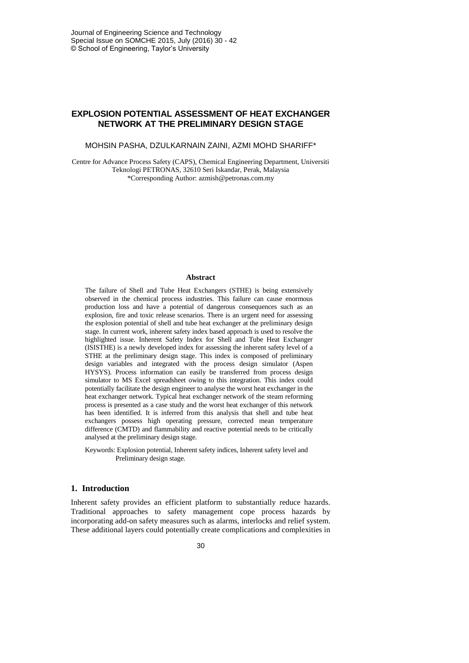# **EXPLOSION POTENTIAL ASSESSMENT OF HEAT EXCHANGER NETWORK AT THE PRELIMINARY DESIGN STAGE**

### MOHSIN PASHA, DZULKARNAIN ZAINI, AZMI MOHD SHARIFF\*

Centre for Advance Process Safety (CAPS), Chemical Engineering Department, Universiti Teknologi PETRONAS, 32610 Seri Iskandar, Perak, Malaysia \*Corresponding Author[: azmish@petronas.com.my](mailto:azmish@petronas.com.my)

#### **Abstract**

The failure of Shell and Tube Heat Exchangers (STHE) is being extensively observed in the chemical process industries. This failure can cause enormous production loss and have a potential of dangerous consequences such as an explosion, fire and toxic release scenarios. There is an urgent need for assessing the explosion potential of shell and tube heat exchanger at the preliminary design stage. In current work, inherent safety index based approach is used to resolve the highlighted issue. Inherent Safety Index for Shell and Tube Heat Exchanger (ISISTHE) is a newly developed index for assessing the inherent safety level of a STHE at the preliminary design stage. This index is composed of preliminary design variables and integrated with the process design simulator (Aspen HYSYS). Process information can easily be transferred from process design simulator to MS Excel spreadsheet owing to this integration. This index could potentially facilitate the design engineer to analyse the worst heat exchanger in the heat exchanger network. Typical heat exchanger network of the steam reforming process is presented as a case study and the worst heat exchanger of this network has been identified. It is inferred from this analysis that shell and tube heat exchangers possess high operating pressure, corrected mean temperature difference (CMTD) and flammability and reactive potential needs to be critically analysed at the preliminary design stage.

Keywords: Explosion potential, Inherent safety indices, Inherent safety level and Preliminary design stage.

# **1. Introduction**

Inherent safety provides an efficient platform to substantially reduce hazards. Traditional approaches to safety management cope process hazards by incorporating add-on safety measures such as alarms, interlocks and relief system. These additional layers could potentially create complications and complexities in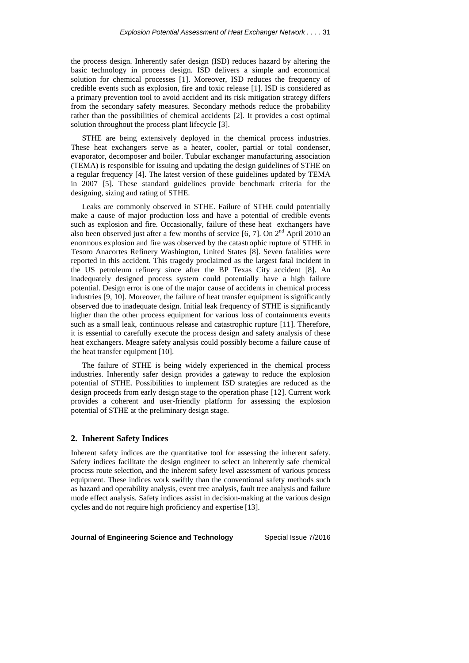the process design. Inherently safer design (ISD) reduces hazard by altering the basic technology in process design. ISD delivers a simple and economical solution for chemical processes [\[1\]](#page-10-0). Moreover, ISD reduces the frequency of credible events such as explosion, fire and toxic release [\[1\]](#page-10-0). ISD is considered as a primary prevention tool to avoid accident and its risk mitigation strategy differs from the secondary safety measures. Secondary methods reduce the probability rather than the possibilities of chemical accidents [\[2\]](#page-10-1). It provides a cost optimal solution throughout the process plant lifecycle [\[3\]](#page-10-2).

STHE are being extensively deployed in the chemical process industries. These heat exchangers serve as a heater, cooler, partial or total condenser, evaporator, decomposer and boiler. Tubular exchanger manufacturing association (TEMA) is responsible for issuing and updating the design guidelines of STHE on a regular frequency [\[4\]](#page-10-3). The latest version of these guidelines updated by TEMA in 2007 [\[5\]](#page-10-4). These standard guidelines provide benchmark criteria for the designing, sizing and rating of STHE.

Leaks are commonly observed in STHE. Failure of STHE could potentially make a cause of major production loss and have a potential of credible events such as explosion and fire. Occasionally, failure of these heat exchangers have also been observed just after a few months of service  $[6, 7]$  $[6, 7]$ . On  $2<sup>nd</sup>$  April 2010 an enormous explosion and fire was observed by the catastrophic rupture of STHE in Tesoro Anacortes Refinery Washington, United States [\[8\]](#page-10-7). Seven fatalities were reported in this accident. This tragedy proclaimed as the largest fatal incident in the US petroleum refinery since after the BP Texas City accident [\[8\]](#page-10-7). An inadequately designed process system could potentially have a high failure potential. Design error is one of the major cause of accidents in chemical process industries [\[9,](#page-10-8) [10\]](#page-10-9). Moreover, the failure of heat transfer equipment is significantly observed due to inadequate design. Initial leak frequency of STHE is significantly higher than the other process equipment for various loss of containments events such as a small leak, continuous release and catastrophic rupture [\[11\]](#page-10-10). Therefore, it is essential to carefully execute the process design and safety analysis of these heat exchangers. Meagre safety analysis could possibly become a failure cause of the heat transfer equipment [\[10\]](#page-10-9).

The failure of STHE is being widely experienced in the chemical process industries. Inherently safer design provides a gateway to reduce the explosion potential of STHE. Possibilities to implement ISD strategies are reduced as the design proceeds from early design stage to the operation phase [\[12\]](#page-11-0). Current work provides a coherent and user-friendly platform for assessing the explosion potential of STHE at the preliminary design stage.

# **2. Inherent Safety Indices**

Inherent safety indices are the quantitative tool for assessing the inherent safety. Safety indices facilitate the design engineer to select an inherently safe chemical process route selection, and the inherent safety level assessment of various process equipment. These indices work swiftly than the conventional safety methods such as hazard and operability analysis, event tree analysis, fault tree analysis and failure mode effect analysis. Safety indices assist in decision-making at the various design cycles and do not require high proficiency and expertise [\[13\]](#page-11-1).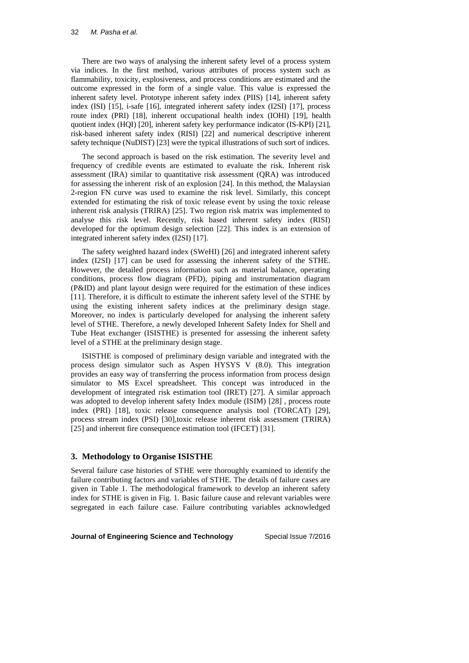There are two ways of analysing the inherent safety level of a process system via indices. In the first method, various attributes of process system such as flammability, toxicity, explosiveness, and process conditions are estimated and the outcome expressed in the form of a single value. This value is expressed the inherent safety level. Prototype inherent safety index (PIIS) [\[14\]](#page-11-2), inherent safety index (ISI) [\[15\]](#page-11-3), ί-safe [\[16\]](#page-11-4), integrated inherent safety index (I2SI) [\[17\]](#page-11-5), process route index (PRI) [\[18\]](#page-11-6), inherent occupational health index (IOHI) [\[19\]](#page-11-7), health quotient index (HQI) [\[20\]](#page-11-8), inherent safety key performance indicator (IS-KPI) [\[21\]](#page-11-9), risk-based inherent safety index (RISI) [\[22\]](#page-11-10) and numerical descriptive inherent safety technique (NuDIST) [\[23\]](#page-11-11) were the typical illustrations of such sort of indices.

The second approach is based on the risk estimation. The severity level and frequency of credible events are estimated to evaluate the risk. Inherent risk assessment (IRA) similar to quantitative risk assessment (QRA) was introduced for assessing the inherent risk of an explosion [\[24\]](#page-11-12). In this method, the Malaysian 2-region FN curve was used to examine the risk level. Similarly, this concept extended for estimating the risk of toxic release event by using the toxic release inherent risk analysis (TRIRA) [\[25\]](#page-11-13). Two region risk matrix was implemented to analyse this risk level. Recently, risk based inherent safety index (RISI) developed for the optimum design selection [\[22\]](#page-11-10). This index is an extension of integrated inherent safety index (I2SI) [\[17\]](#page-11-5).

The safety weighted hazard index (SWeHI) [\[26\]](#page-11-14) and integrated inherent safety index (I2SI) [\[17\]](#page-11-5) can be used for assessing the inherent safety of the STHE. However, the detailed process information such as material balance, operating conditions, process flow diagram (PFD), piping and instrumentation diagram (P&ID) and plant layout design were required for the estimation of these indices [\[11\]](#page-10-10). Therefore, it is difficult to estimate the inherent safety level of the STHE by using the existing inherent safety indices at the preliminary design stage. Moreover, no index is particularly developed for analysing the inherent safety level of STHE. Therefore, a newly developed Inherent Safety Index for Shell and Tube Heat exchanger (ISISTHE) is presented for assessing the inherent safety level of a STHE at the preliminary design stage.

ISISTHE is composed of preliminary design variable and integrated with the process design simulator such as Aspen HYSYS V (8.0). This integration provides an easy way of transferring the process information from process design simulator to MS Excel spreadsheet. This concept was introduced in the development of integrated risk estimation tool (IRET) [\[27\]](#page-12-0). A similar approach was adopted to develop inherent safety Index module (ISIM) [\[28\]](#page-12-1) , process route index (PRI) [\[18\]](#page-11-6), toxic release consequence analysis tool (TORCAT) [\[29\]](#page-12-2), process stream index (PSI) [\[30\]](#page-12-3),toxic release inherent risk assessment (TRIRA) [\[25\]](#page-11-13) and inherent fire consequence estimation tool (IFCET) [\[31\]](#page-12-4).

# **3. Methodology to Organise ISISTHE**

Several failure case histories of STHE were thoroughly examined to identify the failure contributing factors and variables of STHE. The details of failure cases are given in Table 1. The methodological framework to develop an inherent safety index for STHE is given in Fig. 1. Basic failure cause and relevant variables were segregated in each failure case. Failure contributing variables acknowledged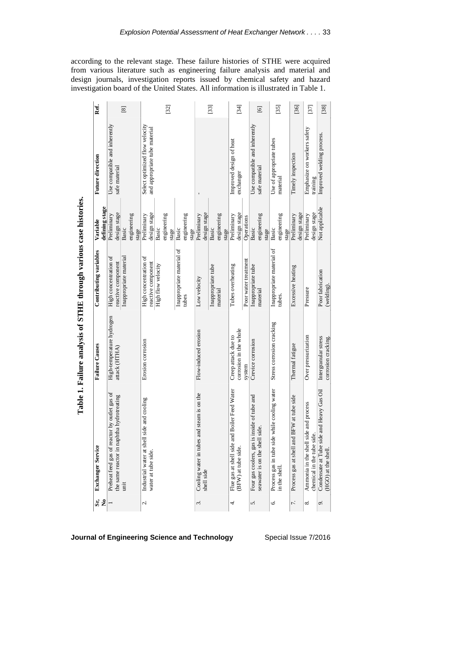according to the relevant stage. These failure histories of STHE were acquired from various literature such as engineering failure analysis and material and design journals, investigation reports issued by chemical safety and hazard investigation board of the United States. All information is illustrated in Table 1.

|      |                                                                                                   | Table 1. Failure analysis of STHE through various case histories. |                                                                                                         |                                                                                               |                                                                 |                |
|------|---------------------------------------------------------------------------------------------------|-------------------------------------------------------------------|---------------------------------------------------------------------------------------------------------|-----------------------------------------------------------------------------------------------|-----------------------------------------------------------------|----------------|
| Si 2 | ò,<br><b>Exchanger Servic</b>                                                                     | <b>Failure Causes</b>                                             | Contributing variables                                                                                  | defining stage<br>Variable                                                                    | <b>Future direction</b>                                         | Ref.           |
|      | Preheat feed gas of reactor by outlet gas of<br>the same reactor in naphtha hydrotreating<br>imit | High-temperature hydrogen<br>attack (HTHA)                        | Inappropriate material<br>High concentration of<br>reactive component                                   | design stage<br>Preliminary<br>engineering<br>Basic<br>stage                                  | Use compatible and inherently<br>safe material                  | $^{[8]}$       |
| ζ.   | shell side and cooling<br>Industrial water at<br>water at tube side.                              | Erosion corrosion                                                 | Inappropriate material of<br>High concentration of<br>reactive component<br>High flow velocity<br>tubes | design stage<br>Preliminary<br>engineering<br>engineering<br>Basic<br>Basic<br>stage<br>stage | Select optimized flow velocity<br>and appropriate tube material | [32]           |
| 3.   | Cooling water in tubes and steam is on the<br>shell side                                          | Flow-induced erosion                                              | Inappropriate tube<br>Low velocity<br>material                                                          | design stage<br>Preliminary<br>engineering<br>Basic<br>stage                                  |                                                                 | $[33]$         |
| 4.   | Flue gas at shell side and Boiler Feed Water<br>(BFW) at tube side.                               | corrosion in the whole<br>Creep attack due to<br>system           | Poor water treatment<br>Tubes overheating                                                               | design stage<br>Preliminary<br>Operations                                                     | Improved design of heat<br>exchanger                            | [34]           |
| 5.   | gas is inside of tube and<br>seawater is on the shell side.<br>Four gas coolers,                  | Crevice corrosion                                                 | Inappropriate tube<br>material                                                                          | engineering<br>Basic<br>stage                                                                 | Use compatible and inherently<br>safe material                  | $\overline{6}$ |
| Ġ.   | e side while cooling water<br>Process gas in tub<br>in the shell.                                 | Stress corrosion cracking                                         | Inappropriate material of<br>tubes.                                                                     | engineering<br>Basic<br>stage                                                                 | Use of appropriate tubes<br>material                            | [35]           |
| 7.   | Il and BFW at tube side<br>Process gas at she.                                                    | Thermal fatigue                                                   | Excessive heating                                                                                       | design stage<br>Preliminary                                                                   | Timely inspection                                               | [36]           |
| ∞    | nell side and process<br>chemical in the tube side.<br>Ammonia in the sh                          | Over pressurization                                               | Pressure                                                                                                | design stage<br>Preliminary                                                                   | Emphasize on workers safety<br>training                         | [37]           |
| o,   | Condensate at Tube side and Heavy Gas Oil<br>(HGO) at the shell                                   | Intergranular stress<br>corrosion cracking.                       | Poor fabrication<br>(welding)                                                                           | Not applicable                                                                                | Improved welding process.                                       | $[38]$         |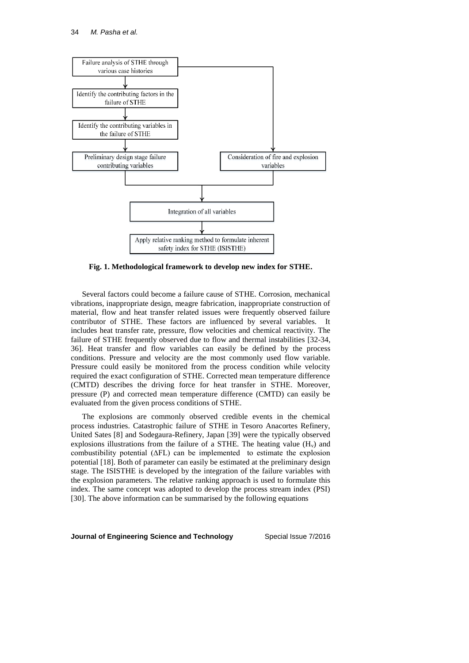

**Fig. 1. Methodological framework to develop new index for STHE.**

Several factors could become a failure cause of STHE. Corrosion, mechanical vibrations, inappropriate design, meagre fabrication, inappropriate construction of material, flow and heat transfer related issues were frequently observed failure contributor of STHE. These factors are influenced by several variables. It includes heat transfer rate, pressure, flow velocities and chemical reactivity. The failure of STHE frequently observed due to flow and thermal instabilities [\[32-34,](#page-12-5) [36\]](#page-12-6). Heat transfer and flow variables can easily be defined by the process conditions. Pressure and velocity are the most commonly used flow variable. Pressure could easily be monitored from the process condition while velocity required the exact configuration of STHE. Corrected mean temperature difference (CMTD) describes the driving force for heat transfer in STHE. Moreover, pressure (P) and corrected mean temperature difference (CMTD) can easily be evaluated from the given process conditions of STHE.

The explosions are commonly observed credible events in the chemical process industries. Catastrophic failure of STHE in Tesoro Anacortes Refinery, United Sates [\[8\]](#page-10-7) and Sodegaura-Refinery, Japan [\[39\]](#page-12-7) were the typically observed explosions illustrations from the failure of a STHE. The heating value  $(H_v)$  and combustibility potential (∆FL) can be implemented to estimate the explosion potential [\[18\]](#page-11-6). Both of parameter can easily be estimated at the preliminary design stage. The ISISTHE is developed by the integration of the failure variables with the explosion parameters. The relative ranking approach is used to formulate this index. The same concept was adopted to develop the process stream index (PSI) [\[30\]](#page-12-3). The above information can be summarised by the following equations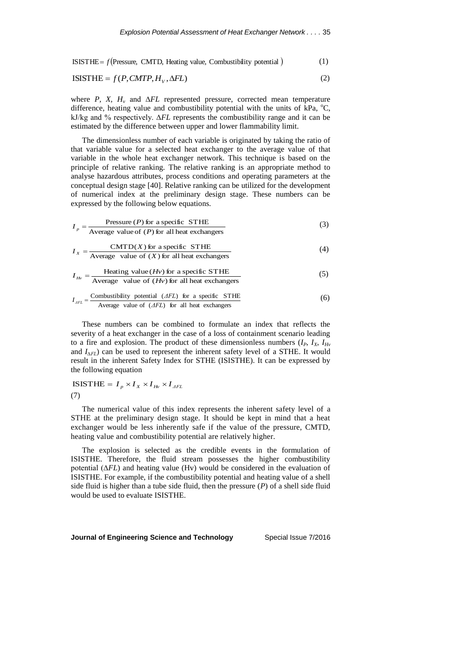ISISTHE =  $f$ (Pressure, CMTD, Heating value, Combustibility potential)  $(1)$ 

$$
ISISTHE = f(P, CMTP, H_V, \Delta FL)
$$
\n(2)

where *P*, *X*,  $H_v$  and  $\Delta FL$  represented pressure, corrected mean temperature difference, heating value and combustibility potential with the units of kPa,  $^{\circ}C$ , kJ/kg and % respectively. ∆*FL* represents the combustibility range and it can be estimated by the difference between upper and lower flammability limit.

The dimensionless number of each variable is originated by taking the ratio of that variable value for a selected heat exchanger to the average value of that variable in the whole heat exchanger network. This technique is based on the principle of relative ranking. The relative ranking is an appropriate method to analyse hazardous attributes, process conditions and operating parameters at the conceptual design stage [\[40\]](#page-12-8). Relative ranking can be utilized for the development of numerical index at the preliminary design stage. These numbers can be expressed by the following below equations.

$$
I_p = \frac{\text{Pressure } (P) \text{ for a specific STHE}}{\text{Average value of } (P) \text{ for all heat exchanges}} \tag{3}
$$

$$
I_x = \frac{\text{CMTD}(X) \text{ for a specific STHE}}{\text{Average value of } (X) \text{ for all heat exchanges}} \tag{4}
$$

$$
I_{Hv} = \frac{\text{Heating value} (Hv) \text{ for a specific STHE}}{\text{Average value of } (Hv) \text{ for all heat exchanges}} \tag{5}
$$

$$
I_{AFL} = \frac{\text{Combustibility potential } (AFL) \text{ for a specific STHE}}{\text{Average value of } (AFL) \text{ for all heat exchanges}} \tag{6}
$$

These numbers can be combined to formulate an index that reflects the severity of a heat exchanger in the case of a loss of containment scenario leading to a fire and explosion. The product of these dimensionless numbers  $(I_P, I_X, I_{Hv})$ and  $I_{\Lambda F}$ ) can be used to represent the inherent safety level of a STHE. It would result in the inherent Safety Index for STHE (ISISTHE). It can be expressed by the following equation

$$
\text{ISISTHE} = I_p \times I_X \times I_{Hv} \times I_{AFL}
$$
\n
$$
(7)
$$

The numerical value of this index represents the inherent safety level of a STHE at the preliminary design stage. It should be kept in mind that a heat exchanger would be less inherently safe if the value of the pressure, CMTD, heating value and combustibility potential are relatively higher.

The explosion is selected as the credible events in the formulation of ISISTHE. Therefore, the fluid stream possesses the higher combustibility potential (∆*FL*) and heating value (Hv) would be considered in the evaluation of ISISTHE. For example, if the combustibility potential and heating value of a shell side fluid is higher than a tube side fluid, then the pressure (*P*) of a shell side fluid would be used to evaluate ISISTHE.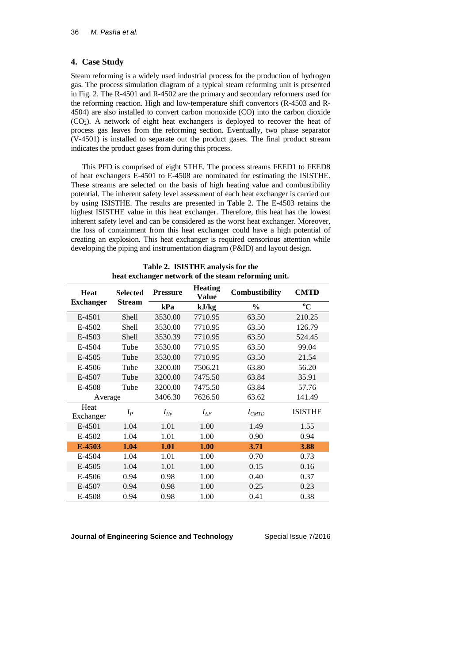# **4. Case Study**

Steam reforming is a widely used industrial process for the production of hydrogen gas. The process simulation diagram of a typical steam reforming unit is presented in Fig. 2. The R-4501 and R-4502 are the primary and secondary reformers used for the reforming reaction. High and low-temperature shift convertors (R-4503 and R-4504) are also installed to convert carbon monoxide (CO) into the carbon dioxide  $(CO<sub>2</sub>)$ . A network of eight heat exchangers is deployed to recover the heat of process gas leaves from the reforming section. Eventually, two phase separator (V-4501) is installed to separate out the product gases. The final product stream indicates the product gases from during this process.

This PFD is comprised of eight STHE. The process streams FEED1 to FEED8 of heat exchangers E-4501 to E-4508 are nominated for estimating the ISISTHE. These streams are selected on the basis of high heating value and combustibility potential. The inherent safety level assessment of each heat exchanger is carried out by using ISISTHE. The results are presented in Table 2. The E-4503 retains the highest ISISTHE value in this heat exchanger. Therefore, this heat has the lowest inherent safety level and can be considered as the worst heat exchanger. Moreover, the loss of containment from this heat exchanger could have a high potential of creating an explosion. This heat exchanger is required censorious attention while developing the piping and instrumentation diagram (P&ID) and layout design.

|                   |                 |                 | 0                              |                |                |
|-------------------|-----------------|-----------------|--------------------------------|----------------|----------------|
| <b>Heat</b>       | <b>Selected</b> | <b>Pressure</b> | <b>Heating</b><br><b>Value</b> | Combustibility | <b>CMTD</b>    |
| <b>Exchanger</b>  | <b>Stream</b>   | kPa             | kJ/kg                          | $\frac{0}{0}$  | $\rm ^{o}C$    |
| E-4501            | <b>Shell</b>    | 3530.00         | 7710.95                        | 63.50          | 210.25         |
| E-4502            | <b>Shell</b>    | 3530.00         | 7710.95                        | 63.50          | 126.79         |
| E-4503            | Shell           | 3530.39         | 7710.95                        | 63.50          | 524.45         |
| E-4504            | Tube            | 3530.00         | 7710.95                        | 63.50          | 99.04          |
| E-4505            | Tube            | 3530.00         | 7710.95                        | 63.50          | 21.54          |
| E-4506            | Tube            | 3200.00         | 7506.21                        | 63.80          | 56.20          |
| E-4507            | Tube            | 3200.00         | 7475.50                        | 63.84          | 35.91          |
| E-4508            | Tube            | 3200.00         | 7475.50                        | 63.84          | 57.76          |
| Average           |                 | 3406.30         | 7626.50                        | 63.62          | 141.49         |
| Heat<br>Exchanger | $I_P$           | $I_{Hv}$        | $I_{\Delta F}$                 | $I_{CMTD}$     | <b>ISISTHE</b> |
| E-4501            | 1.04            | 1.01            | 1.00                           | 1.49           | 1.55           |
| E-4502            | 1.04            | 1.01            | 1.00                           | 0.90           | 0.94           |
| E-4503            | 1.04            | 1.01            | 1.00                           | 3.71           | 3.88           |
| E-4504            | 1.04            | 1.01            | 1.00                           | 0.70           | 0.73           |
| E-4505            | 1.04            | 1.01            | 1.00                           | 0.15           | 0.16           |
| E-4506            | 0.94            | 0.98            | 1.00                           | 0.40           | 0.37           |
| E-4507            | 0.94            | 0.98            | 1.00                           | 0.25           | 0.23           |
| E-4508            | 0.94            | 0.98            | 1.00                           | 0.41           | 0.38           |

**Table 2. ISISTHE analysis for the heat exchanger network of the steam reforming unit.**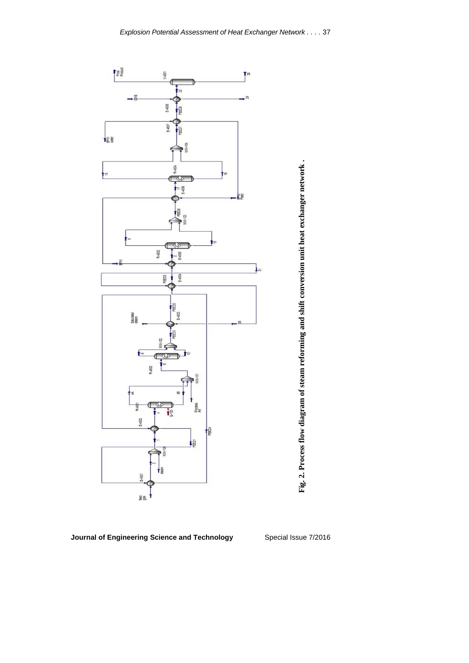

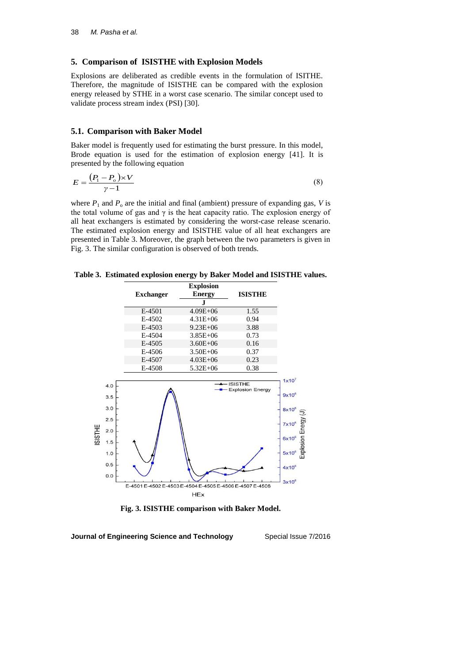# **5. Comparison of ISISTHE with Explosion Models**

Explosions are deliberated as credible events in the formulation of ISITHE. Therefore, the magnitude of ISISTHE can be compared with the explosion energy released by STHE in a worst case scenario. The similar concept used to validate process stream index (PSI) [\[30\]](#page-12-3).

### **5.1. Comparison with Baker Model**

Baker model is frequently used for estimating the burst pressure. In this model, Brode equation is used for the estimation of explosion energy [\[41\]](#page-12-9). It is presented by the following equation

$$
E = \frac{(P_1 - P_o) \times V}{\gamma - 1} \tag{8}
$$

where  $P_1$  and  $P_0$  are the initial and final (ambient) pressure of expanding gas, *V* is the total volume of gas and  $\gamma$  is the heat capacity ratio. The explosion energy of all heat exchangers is estimated by considering the worst-case release scenario. The estimated explosion energy and ISISTHE value of all heat exchangers are presented in Table 3. Moreover, the graph between the two parameters is given in Fig. 3. The similar configuration is observed of both trends.

**Table 3. Estimated explosion energy by Baker Model and ISISTHE values.**

|                      |                  | <b>Explosion</b>                                        |                                      |
|----------------------|------------------|---------------------------------------------------------|--------------------------------------|
|                      | <b>Exchanger</b> | <b>Energy</b>                                           | <b>ISISTHE</b>                       |
|                      |                  | J.                                                      |                                      |
|                      | E-4501           | $4.09E + 06$                                            | 1.55                                 |
|                      | E-4502           | $4.31E + 06$                                            | 0.94                                 |
|                      | E-4503           | $9.23E + 06$                                            | 3.88                                 |
|                      | E-4504           | $3.85E + 06$                                            | 0.73                                 |
|                      | E-4505           | $3.60E + 06$                                            | 0.16                                 |
|                      | E-4506           | $3.50E + 06$                                            | 0.37                                 |
|                      | E-4507           | $4.03E + 06$                                            | 0.23                                 |
|                      | E-4508           | $5.32E + 06$                                            | 0.38                                 |
| 4.0                  |                  |                                                         | - ISISTHE<br><b>Explosion Energy</b> |
| 3.5                  |                  |                                                         |                                      |
| 3.0<br>2.5           |                  |                                                         |                                      |
| 2.0                  |                  |                                                         |                                      |
| <b>SISTHE</b><br>1.5 |                  |                                                         |                                      |
| 1.0                  |                  |                                                         |                                      |
| 0.5<br>0.0           |                  |                                                         |                                      |
|                      |                  | E-4501 E-4502 E-4503 E-4504 E-4505 E-4506 E-4507 E-4508 |                                      |
|                      |                  | <b>HEx</b>                                              |                                      |

**Fig. 3. ISISTHE comparison with Baker Model.**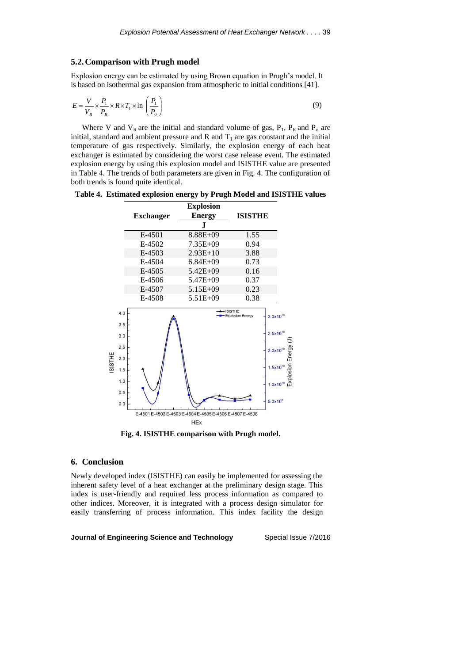## **5.2.Comparison with Prugh model**

Explosion energy can be estimated by using Brown equation in Prugh's model. It is based on isothermal gas expansion from atmospheric to initial conditions [\[41\]](#page-12-9).

$$
E = \frac{V}{V_R} \times \frac{P_1}{P_R} \times R \times T_1 \times \ln\left(\frac{P_1}{P_0}\right)
$$
\n(9)

Where V and  $V_R$  are the initial and standard volume of gas,  $P_1$ ,  $P_R$  and  $P_0$  are initial, standard and ambient pressure and R and  $T_1$  are gas constant and the initial temperature of gas respectively. Similarly, the explosion energy of each heat exchanger is estimated by considering the worst case release event. The estimated explosion energy by using this explosion model and ISISTHE value are presented in Table 4. The trends of both parameters are given in Fig. 4. The configuration of both trends is found quite identical.

**Table 4. Estimated explosion energy by Prugh Model and ISISTHE values** 



**Fig. 4. ISISTHE comparison with Prugh model.**

# **6. Conclusion**

Newly developed index (ISISTHE) can easily be implemented for assessing the inherent safety level of a heat exchanger at the preliminary design stage. This index is user-friendly and required less process information as compared to other indices. Moreover, it is integrated with a process design simulator for easily transferring of process information. This index facility the design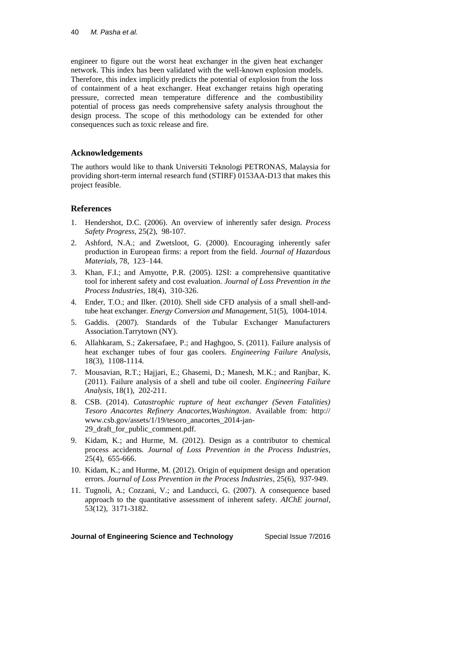engineer to figure out the worst heat exchanger in the given heat exchanger network. This index has been validated with the well-known explosion models. Therefore, this index implicitly predicts the potential of explosion from the loss of containment of a heat exchanger. Heat exchanger retains high operating pressure, corrected mean temperature difference and the combustibility potential of process gas needs comprehensive safety analysis throughout the design process. The scope of this methodology can be extended for other consequences such as toxic release and fire.

# **Acknowledgements**

The authors would like to thank Universiti Teknologi PETRONAS, Malaysia for providing short-term internal research fund (STIRF) 0153AA-D13 that makes this project feasible.

# **References**

- <span id="page-10-0"></span>1. Hendershot, D.C. (2006). An overview of inherently safer design*. Process Safety Progress,* 25(2), 98-107.
- <span id="page-10-1"></span>2. Ashford, N.A.; and Zwetsloot, G. (2000). Encouraging inherently safer production in European firms: a report from the field*. Journal of Hazardous Materials,* 78, 123–144.
- <span id="page-10-2"></span>3. Khan, F.I.; and Amyotte, P.R. (2005). I2SI: a comprehensive quantitative tool for inherent safety and cost evaluation*. Journal of Loss Prevention in the Process Industries*, 18(4), 310-326.
- <span id="page-10-3"></span>4. Ender, T.O.; and Ilker. (2010). Shell side CFD analysis of a small shell-andtube heat exchanger*. Energy Conversion and Management*, 51(5), 1004-1014.
- <span id="page-10-4"></span>5. Gaddis. (2007). Standards of the Tubular Exchanger Manufacturers Association.Tarrytown (NY)*.*
- <span id="page-10-5"></span>6. Allahkaram, S.; Zakersafaee, P.; and Haghgoo, S. (2011). Failure analysis of heat exchanger tubes of four gas coolers*. Engineering Failure Analysis*, 18(3), 1108-1114.
- <span id="page-10-6"></span>7. Mousavian, R.T.; Hajjari, E.; Ghasemi, D.; Manesh, M.K.; and Ranjbar, K. (2011). Failure analysis of a shell and tube oil cooler*. Engineering Failure Analysis*, 18(1), 202-211.
- <span id="page-10-7"></span>8. CSB. (2014). *Catastrophic rupture of heat exchanger (Seven Fatalities) Tesoro Anacortes Refinery Anacortes,Washington*. Available from: http:// www.csb.gov/assets/1/19/tesoro\_anacortes\_2014-jan-29\_draft\_for\_public\_comment.pdf.
- <span id="page-10-8"></span>9. Kidam, K.; and Hurme, M. (2012). Design as a contributor to chemical process accidents*. Journal of Loss Prevention in the Process Industries*, 25(4), 655-666.
- <span id="page-10-9"></span>10. Kidam, K.; and Hurme, M. (2012). Origin of equipment design and operation errors*. Journal of Loss Prevention in the Process Industries*, 25(6), 937-949.
- <span id="page-10-10"></span>11. Tugnoli, A.; Cozzani, V.; and Landucci, G. (2007). A consequence based approach to the quantitative assessment of inherent safety*. AIChE journal*, 53(12), 3171-3182.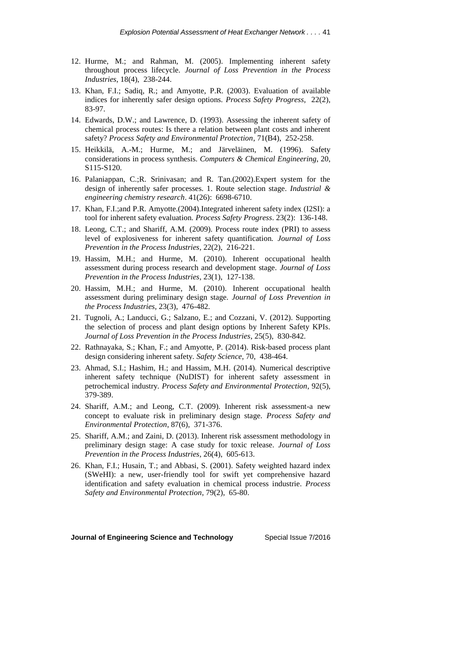- <span id="page-11-0"></span>12. Hurme, M.; and Rahman, M. (2005). Implementing inherent safety throughout process lifecycle*. Journal of Loss Prevention in the Process Industries*, 18(4), 238-244.
- <span id="page-11-1"></span>13. Khan, F.I.; Sadiq, R.; and Amyotte, P.R. (2003). Evaluation of available indices for inherently safer design options*. Process Safety Progress*, 22(2), 83-97.
- <span id="page-11-2"></span>14. Edwards, D.W.; and Lawrence, D. (1993). Assessing the inherent safety of chemical process routes: Is there a relation between plant costs and inherent safety? *Process Safety and Environmental Protection*, 71(B4), 252-258.
- <span id="page-11-3"></span>15. Heikkilä, A.-M.; Hurme, M.; and Järveläinen, M. (1996). Safety considerations in process synthesis*. Computers & Chemical Engineering*, 20, S115-S120.
- <span id="page-11-4"></span>16. Palaniappan, C.;R. Srinivasan; and R. Tan.(2002).Expert system for the design of inherently safer processes. 1. Route selection stage*. Industrial & engineering chemistry research*. 41(26): 6698-6710.
- <span id="page-11-5"></span>17. Khan, F.I.;and P.R. Amyotte.(2004).Integrated inherent safety index (I2SI): a tool for inherent safety evaluation*. Process Safety Progress*. 23(2): 136-148.
- <span id="page-11-6"></span>18. Leong, C.T.; and Shariff, A.M. (2009). Process route index (PRI) to assess level of explosiveness for inherent safety quantification*. Journal of Loss Prevention in the Process Industries*, 22(2), 216-221.
- <span id="page-11-7"></span>19. Hassim, M.H.; and Hurme, M. (2010). Inherent occupational health assessment during process research and development stage*. Journal of Loss Prevention in the Process Industries*, 23(1), 127-138.
- <span id="page-11-8"></span>20. Hassim, M.H.; and Hurme, M. (2010). Inherent occupational health assessment during preliminary design stage*. Journal of Loss Prevention in the Process Industries*, 23(3), 476-482.
- <span id="page-11-9"></span>21. Tugnoli, A.; Landucci, G.; Salzano, E.; and Cozzani, V. (2012). Supporting the selection of process and plant design options by Inherent Safety KPIs*. Journal of Loss Prevention in the Process Industries*, 25(5), 830-842.
- <span id="page-11-10"></span>22. Rathnayaka, S.; Khan, F.; and Amyotte, P. (2014). Risk-based process plant design considering inherent safety*. Safety Science*, 70, 438-464.
- <span id="page-11-11"></span>23. Ahmad, S.I.; Hashim, H.; and Hassim, M.H. (2014). Numerical descriptive inherent safety technique (NuDIST) for inherent safety assessment in petrochemical industry*. Process Safety and Environmental Protection*, 92(5), 379-389.
- <span id="page-11-12"></span>24. Shariff, A.M.; and Leong, C.T. (2009). Inherent risk assessment-a new concept to evaluate risk in preliminary design stage*. Process Safety and Environmental Protection*, 87(6), 371-376.
- <span id="page-11-13"></span>25. Shariff, A.M.; and Zaini, D. (2013). Inherent risk assessment methodology in preliminary design stage: A case study for toxic release*. Journal of Loss Prevention in the Process Industries*, 26(4), 605-613.
- <span id="page-11-14"></span>26. Khan, F.I.; Husain, T.; and Abbasi, S. (2001). Safety weighted hazard index (SWeHI): a new, user-friendly tool for swift yet comprehensive hazard identification and safety evaluation in chemical process industrie*. Process Safety and Environmental Protection*, 79(2), 65-80.